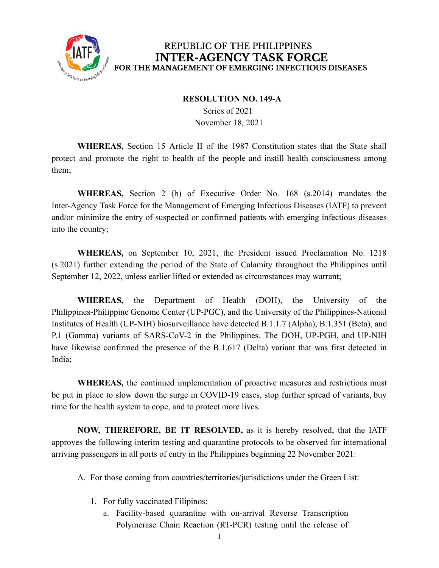

## REPUBLIC OF THE PHILIPPINES **INTER-AGENCY TASK FORCE** FOR THE MANAGEMENT OF EMERGING INFECTIOUS DISEASES

## **RESOLUTION NO. 149-A**

Series of 2021 November 18, 2021

**WHEREAS,** Section 15 Article II of the 1987 Constitution states that the State shall protect and promote the right to health of the people and instill health consciousness among them;

**WHEREAS,** Section 2 (b) of Executive Order No. 168 (s.2014) mandates the Inter-Agency Task Force for the Management of Emerging Infectious Diseases (IATF) to prevent and/or minimize the entry of suspected or confirmed patients with emerging infectious diseases into the country;

**WHEREAS,** on September 10, 2021, the President issued Proclamation No. 1218 (s.2021) further extending the period of the State of Calamity throughout the Philippines until September 12, 2022, unless earlier lifted or extended as circumstances may warrant;

**WHEREAS,** the Department of Health (DOH), the University of the Philippines-Philippine Genome Center (UP-PGC), and the University of the Philippines-National Institutes of Health (UP-NIH) biosurveillance have detected B.1.1.7 (Alpha), B.1.351 (Beta), and P.1 (Gamma) variants of SARS-CoV-2 in the Philippines. The DOH, UP-PGH, and UP-NIH have likewise confirmed the presence of the B.1.617 (Delta) variant that was first detected in India;

**WHEREAS,** the continued implementation of proactive measures and restrictions must be put in place to slow down the surge in COVID-19 cases, stop further spread of variants, buy time for the health system to cope, and to protect more lives.

**NOW, THEREFORE, BE IT RESOLVED,** as it is hereby resolved, that the IATF approves the following interim testing and quarantine protocols to be observed for international arriving passengers in all ports of entry in the Philippines beginning 22 November 2021:

A. For those coming from countries/territories/jurisdictions under the Green List:

- 1. For fully vaccinated Filipinos:
	- a. Facility-based quarantine with on-arrival Reverse Transcription Polymerase Chain Reaction (RT-PCR) testing until the release of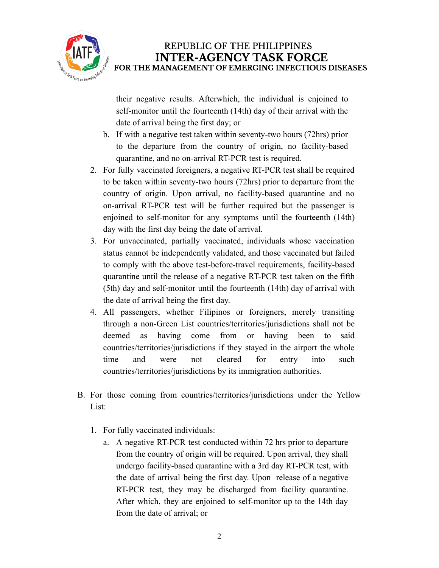

## REPUBLIC OF THE PHILIPPINES **INTER-AGENCY TASK FORCE** FOR THE MANAGEMENT OF EMERGING INFECTIOUS DISEASES

their negative results. Afterwhich, the individual is enjoined to self-monitor until the fourteenth (14th) day of their arrival with the date of arrival being the first day; or

- b. If with a negative test taken within seventy-two hours (72hrs) prior to the departure from the country of origin, no facility-based quarantine, and no on-arrival RT-PCR test is required.
- 2. For fully vaccinated foreigners, a negative RT-PCR test shall be required to be taken within seventy-two hours (72hrs) prior to departure from the country of origin. Upon arrival, no facility-based quarantine and no on-arrival RT-PCR test will be further required but the passenger is enjoined to self-monitor for any symptoms until the fourteenth (14th) day with the first day being the date of arrival.
- 3. For unvaccinated, partially vaccinated, individuals whose vaccination status cannot be independently validated, and those vaccinated but failed to comply with the above test-before-travel requirements, facility-based quarantine until the release of a negative RT-PCR test taken on the fifth (5th) day and self-monitor until the fourteenth (14th) day of arrival with the date of arrival being the first day.
- 4. All passengers, whether Filipinos or foreigners, merely transiting through a non-Green List countries/territories/jurisdictions shall not be deemed as having come from or having been to said countries/territories/jurisdictions if they stayed in the airport the whole time and were not cleared for entry into such countries/territories/jurisdictions by its immigration authorities.
- B. For those coming from countries/territories/jurisdictions under the Yellow List:
	- 1. For fully vaccinated individuals:
		- a. A negative RT-PCR test conducted within 72 hrs prior to departure from the country of origin will be required. Upon arrival, they shall undergo facility-based quarantine with a 3rd day RT-PCR test, with the date of arrival being the first day. Upon release of a negative RT-PCR test, they may be discharged from facility quarantine. After which, they are enjoined to self-monitor up to the 14th day from the date of arrival; or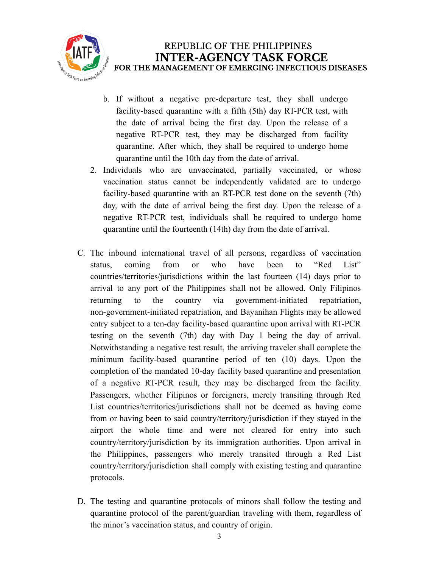

- b. If without a negative pre-departure test, they shall undergo facility-based quarantine with a fifth (5th) day RT-PCR test, with the date of arrival being the first day. Upon the release of a negative RT-PCR test, they may be discharged from facility quarantine. After which, they shall be required to undergo home quarantine until the 10th day from the date of arrival.
- 2. Individuals who are unvaccinated, partially vaccinated, or whose vaccination status cannot be independently validated are to undergo facility-based quarantine with an RT-PCR test done on the seventh (7th) day, with the date of arrival being the first day. Upon the release of a negative RT-PCR test, individuals shall be required to undergo home quarantine until the fourteenth (14th) day from the date of arrival.
- C. The inbound international travel of all persons, regardless of vaccination status, coming from or who have been to "Red List" countries/territories/jurisdictions within the last fourteen (14) days prior to arrival to any port of the Philippines shall not be allowed. Only Filipinos returning to the country via government-initiated repatriation, non-government-initiated repatriation, and Bayanihan Flights may be allowed entry subject to a ten-day facility-based quarantine upon arrival with RT-PCR testing on the seventh (7th) day with Day 1 being the day of arrival. Notwithstanding a negative test result, the arriving traveler shall complete the minimum facility-based quarantine period of ten (10) days. Upon the completion of the mandated 10-day facility based quarantine and presentation of a negative RT-PCR result, they may be discharged from the facility. Passengers, whether Filipinos or foreigners, merely transiting through Red List countries/territories/jurisdictions shall not be deemed as having come from or having been to said country/territory/jurisdiction if they stayed in the airport the whole time and were not cleared for entry into such country/territory/jurisdiction by its immigration authorities. Upon arrival in the Philippines, passengers who merely transited through a Red List country/territory/jurisdiction shall comply with existing testing and quarantine protocols.
- D. The testing and quarantine protocols of minors shall follow the testing and quarantine protocol of the parent/guardian traveling with them, regardless of the minor's vaccination status, and country of origin.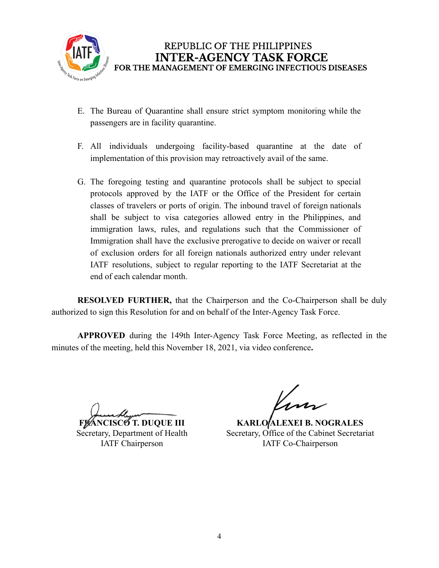

- E. The Bureau of Quarantine shall ensure strict symptom monitoring while the passengers are in facility quarantine.
- F. All individuals undergoing facility-based quarantine at the date of implementation of this provision may retroactively avail of the same.
- G. The foregoing testing and quarantine protocols shall be subject to special protocols approved by the IATF or the Office of the President for certain classes of travelers or ports of origin. The inbound travel of foreign nationals shall be subject to visa categories allowed entry in the Philippines, and immigration laws, rules, and regulations such that the Commissioner of Immigration shall have the exclusive prerogative to decide on waiver or recall of exclusion orders for all foreign nationals authorized entry under relevant IATF resolutions, subject to regular reporting to the IATF Secretariat at the end of each calendar month.

**RESOLVED FURTHER,** that the Chairperson and the Co-Chairperson shall be duly authorized to sign this Resolution for and on behalf of the Inter-Agency Task Force.

**APPROVED** during the 149th Inter-Agency Task Force Meeting, as reflected in the minutes of the meeting, held this November 18, 2021, via video conference**.**

**FRANCISCO T. DUQUE III** Secretary, Department of Health IATF Chairperson

**KARLO/ALEXEI B. NOGRALES** Secretary, Office of the Cabinet Secretariat IATF Co-Chairperson